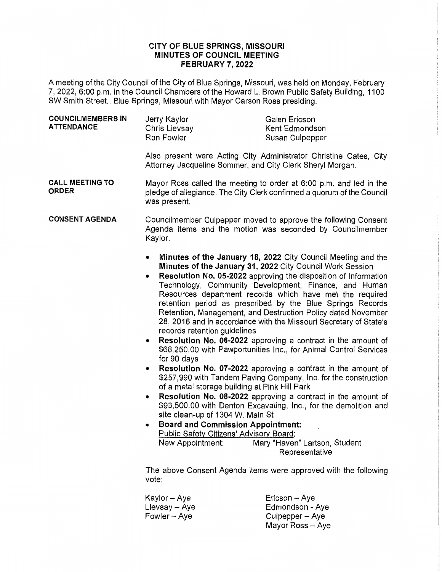## **CITY OF BLUE SPRINGS, MISSOURI MINUTES OF COUNCIL MEETING FEBRUARY 7, 2022**

A meeting of the City Council of the City of Blue Springs, Missouri, was held on Monday, February 7, 2022, 6:00 p.m. in the Council Chambers of the Howard L. Brown Public Safety Building, 1100 SW Smith Street., Blue Springs, Missouri with Mayor Carson Ross presiding.

| <b>COUNCILMEMBERS IN</b><br><b>ATTENDANCE</b> | Jerry Kaylor<br>Chris Lievsay<br>Ron Fowler         | Galen Ericson<br>Kent Edmondson<br>Susan Culpepper |  |
|-----------------------------------------------|-----------------------------------------------------|----------------------------------------------------|--|
|                                               | Also present were Acting City Administrator Christi |                                                    |  |

ine Cates, City Attorney Jacqueline Sommer, and City Clerk Sheryl Morgan.

**CALL MEETING TO ORDER**  Mayor Ross called the meeting to order at 6:00 p.m. and led in the pledge of allegiance. The City Clerk confirmed a quorum of the Council was present.

**CONSENT AGENDA**  Councilmember Culpepper moved to approve the following Consent Agenda items and the motion was seconded by Councilmember Kaylor.

- **Minutes of the January 18, 2022** City Council Meeting and the **Minutes of the January 31, 2022** City Council Work Session
- **Resolution No. 05-2022** approving the disposition of Information Technology, Community Development, Finance, and Human Resources department records which have met the required retention period as prescribed by the Blue Springs Records Retention, Management, and Destruction Policy dated November 28, 2016 and in accordance with the Missouri Secretary of State's records retention guidelines
- **Resolution No. 06-2022** approving a contract in the amount of \$68,250.00 with Pawportunities Inc., for Animal Control Services for 90 days
- **Resolution No. 07-2022** approving a contract in the amount of \$257,990 with Tandem Paving Company, Inc. for the construction of a metal storage building at Pink Hill Park
- **Resolution No. 08-2022** approving a contract in the amount of \$93,500.00 with Denton Excavating, Inc., for the demolition and site clean-up of 1304 W. Main St
- **Board and Commission Appointment:**  Public Safety Citizens' Advisory Board: New Appointment: Mary "Haven" Lartson, Student Representative

The above Consent Agenda items were approved with the following vote:

Kaylor-Aye  $Lievsay - Aye$ Fowler-Aye Ericson - Aye Edmondson - Aye Culpepper - Aye Mayor Ross - Aye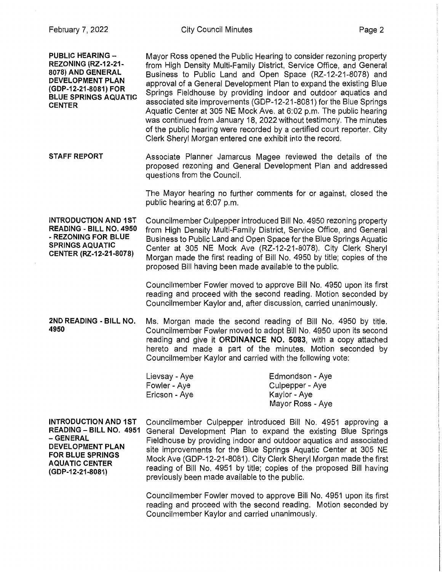**PUBLIC HEARING** - **REZONING (RZ-12-21- 8078) AND GENERAL DEVELOPMENT PLAN (GDP-12-21-8081) FOR BLUE SPRINGS AQUATIC CENTER STAFF REPORT INTRODUCTION AND 1ST READING - BILL NO. 4950**  • **REZONING FOR BLUE SPRINGS AQUATIC CENTER (RZ-12-21-8078)**  Mayor Ross opened the Public Hearing to consider rezoning property from High Density Multi-Family District, Service Office, and General Business to Public Land and Open Space (RZ-12-21-8078) and approval of a General Development Plan to expand the existing Blue Springs Fieldhouse by providing indoor and outdoor aquatics and associated site improvements (GDP-12-21-8081) for the Blue Springs Aquatic Center at 305 NE Mock Ave. at 6:02 p.m. The public hearing was continued from January 18, 2022 without testimony. The minutes of the public hearing were recorded by a certified court reporter. City Clerk Sheryl Morgan entered one exhibit into the record. Associate Planner Jamarcus Magee reviewed the details of the proposed rezoning and General Development Plan and addressed questions from the Council. The Mayor hearing no further comments for or against, closed the public hearing at 6:07 p.m. Councilmember Culpepper introduced Bill No. 4950 rezoning property from High Density Multi-Family District, Service Office, and General Business to Public Land and Open Space for the Blue Springs Aquatic Center at 305 NE Mock Ave (RZ-12-21-8078). City Clerk Sheryl Morgan made the first reading of Bill No. 4950 by title; copies of the proposed Bill having been made available to the public. Councilmember Fowler moved to approve Bill No. 4950 upon its first reading and proceed with the second reading. Motion seconded by Councilmember Kaylor and, after discussion, carried unanimously. **2ND READING · BILL NO.** Ms. Morgan made the second reading of Bill No. 4950 by title. **4950** Councilmember Fowler moved to adopt Bill No. 4950 upon its second reading and give it **ORDINANCE NO. 5083,** with a copy attached hereto and made a part of the minutes. Motion seconded by Councilmember Kaylor and carried with the following vote: **INTRODUCTION AND 1ST READING - BILL NO. 4951 -GENERAL DEVELOPMENT PLAN FOR BLUE SPRINGS AQUATIC CENTER (GDP-12-21-8081)**  Lievsay - Aye Fowler-Aye Ericson - Aye Edmondson - Aye Culpepper - Aye Kaylor -Aye Mayor Ross - Aye Councilmember Culpepper introduced Bill No. 4951 approving a General Development Plan to expand the existing Blue Springs Fieldhouse by providing indoor and outdoor aquatics and associated site improvements for the Blue Springs Aquatic Center at 305 NE Mock Ave (GDP-12-21-8081). City Clerk Sheryl Morgan made the first reading of Bill No. 4951 by title; copies of the proposed Bill having previously been made available to the public. Councilmember Fowler moved to approve Bill No. 4951 upon its first reading and proceed with the second reading. Motion seconded by Councilmember Kaylor and carried unanimously.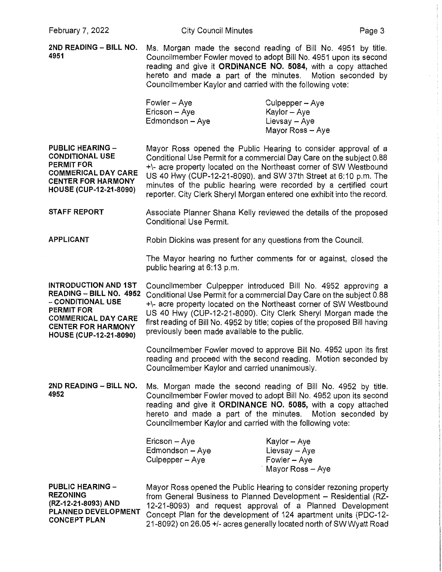**2ND READING - BILL NO.** Ms. Morgan made the second reading of Bill No. 4951 by title. **4951** Councilmember Fowler moved to adopt Bill No. 4951 upon its second reading and give it **ORDINANCE NO. 5084,** with a copy attached hereto and made a part of the minutes. Motion seconded by Councilmember Kaylor and carried with the following vote:

| $Fowler - Aye$  | Culpepper – Aye  |
|-----------------|------------------|
| Ericson – Aye   | Kaylor -- Aye    |
| Edmondson - Aye | Lievsay – Aye    |
|                 | Mayor Ross - Aye |

**PUBLIC HEARING** - **CONDITIONAL USE PERMIT FOR COMMEruCALDAYCARE CENTER FOR HARMONY HOUSE (CUP-12-21-8090)** 

Mayor Ross opened the Public Hearing to consider approval of a Conditional Use Permit for a commercial Day Care on the subject 0.88 +\- acre property located on the Northeast corner of SW Westbound US 40 Hwy (CUP-12-21-8090). and SW 37th Street at 6:10 p.m. The minutes of the public hearing were recorded by a certified court reporter. City Clerk Sheryl Morgan entered one exhibit into the record.

**STAFF REPORT**  Associate Planner Shana Kelly reviewed the details of the proposed Conditional Use Permit.

**APPLICANT**  Robin Dickins was present for any questions from the Council.

> The Mayor hearing no further comments for or against, closed the public hearing at 6: 13 p.m.

**INTRODUCTION AND 1ST READING - BILL NO. 4952**  - **CONDITIONAL USE PERMIT FOR COM MERICAL DAY CARE CENTER FOR HARMONY HOUSE (CUP-12-21-8090)** 

Councilmember Culpepper introduced Bill No. 4952 approving a Conditional Use Permit for a commercial Day Care on the subject 0.88 +\- acre property located on the Northeast corner of SW Westbound US 40 Hwy (CUP-12-21-8090). City Clerk Sheryl Morgan made the first reading of Bill No. 4952 by title; copies of the proposed Bill having previously been made available to the public.

Councilmember Fowler moved to approve Bill No. 4952 upon its first reading and proceed with the second reading. Motion seconded by Councilmember Kaylor and carried unanimously.

**2ND READING - BILL NO.** Ms. Morgan made the second reading of Bill No. 4952 by title. **4952** Councilmember Fowler moved to adopt Bill No. 4952 upon its second reading and give it **ORDINANCE NO. 5085,** with a copy attached hereto and made a part of the minutes. Motion seconded by Councilmember Kaylor and carried with the following vote:

| Ericson - Aye   | Kaylor - Aye     |
|-----------------|------------------|
| Edmondson - Aye | Lievsay – Aye    |
| Culpepper - Aye | Fowler $-$ Aye   |
|                 | Mayor Ross - Aye |

**PUBLIC HEARING** - **REZONING (RZ-12-21-8093) AND PLANNED DEVELOPMENT CONCEPT PLAN** 

Mayor Ross opened the Public Hearing to consider rezoning property from General Business to Planned Development - Residential (RZ-12-21-8093) and request approval of a Planned Development Concept Plan for the development of 124 apartment units (PDC-12- 21-8092) on 26.05 +/- acres generally located north of SW Wyatt Road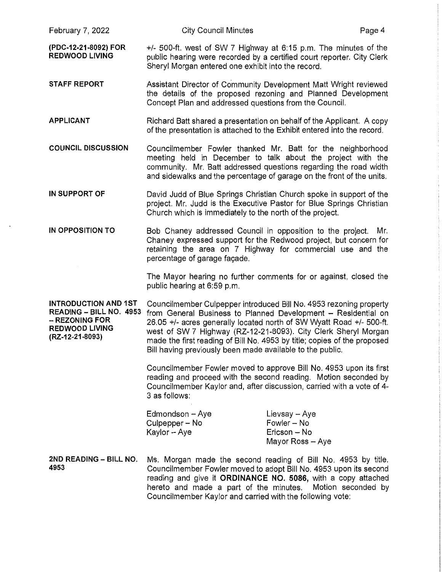- the details of the proposed rezoning and Planned Development Concept Plan and addressed questions from the Council.
- **APPLICANT**  Richard Batt shared a presentation on behalf of the Applicant. A copy of the presentation is attached to the Exhibit entered into the record.
- **COUNCIL DISCUSSION**  Councilmember Fowler thanked Mr. Batt for the neighborhood meeting held in December to talk about the project with the community. Mr. Batt addressed questions regarding the road width and sidewalks and the percentage of garage on the front of the units.
- **IN SUPPORT OF**  David Judd of Blue Springs Christian Church spoke in support of the project. Mr. Judd is the Executive Pastor for Blue Springs Christian Church which is immediately to the north of the project.
- **IN OPPOSITION TO**  Bob Chaney addressed Council in opposition to the project. Mr. Chaney expressed support for the Redwood project, but concern for retaining the area on 7 Highway for commercial use and the percentage of garage facade.

The Mayor hearing no further comments for or against, closed the public hearing at 6:59 p.m.

**INTRODUCTION AND 1ST READING - BILL NO. 4953**  - **REZONING FOR REDWOOD LIVING (RZ-12-21-8093)**  Councilmember Culpepper introduced Bill No. 4953 rezoning property from General Business to Planned Development - Residential on 26.05 +/- acres generally located north of SW Wyatt Road +/- 500-ft. west of SW 7 Highway (RZ-12-21-8093). City Clerk Sheryl Morgan made the first reading of Bill No. 4953 by title; copies of the proposed Bill having previously been made available to the public.

> Councilmember Fowler moved to approve Bill No. 4953 upon its first reading and proceed with the second reading. Motion seconded by Councilmember Kaylor and, after discussion, carried with a vote of 4- 3 as follows:

| Edmondson - Aye | Lievsay - Aye    |
|-----------------|------------------|
| Culpepper – No  | Fowler - No      |
| Kaylor – Aye    | Ericson – No     |
|                 | Mayor Ross - Aye |

**2ND READING - BILL NO.** Ms. Morgan made the second reading of Bill No. 4953 by title. **4953** Councilmember Fowler moved to adopt Bill No. 4953 upon its second reading and give it **ORDINANCE NO. 5086,** with a copy attached hereto and made a part of the minutes. Motion seconded by Councilmember Kaylor and carried with the following vote: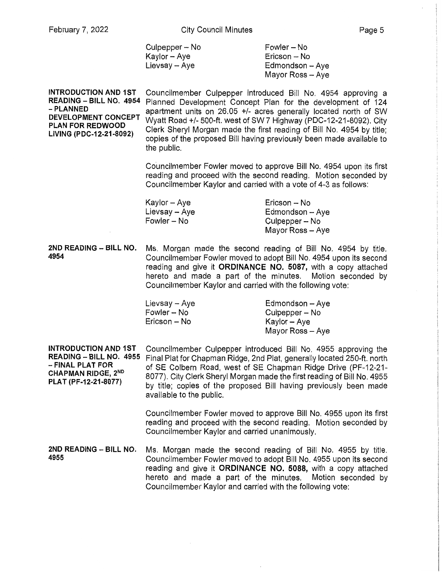Culpepper – No Kaylor-Aye  $Lievsay - Aye$ 

Fowler- No Ericson - No  $Edmondson - Ave$ Mayor Ross - Aye

**INTRODUCTION AND 1ST READING - BILL NO. 4954**  Planned Development Concept Plan for the development of 124 **-PLANNED DEVELOPMENT CONCEPT PLAN FOR REDWOOD LIVING (PDC-12-21-8092)**  Councilmember Culpepper introduced Bill No. 4954 approving a apartment units on 26.05 +/- acres generally located north of SW Wyatt Road+/- 500-ft. west of SW 7 Highway (PDC-12-21 -8092). City Clerk Sheryl Morgan made the first reading of Bill No. 4954 by title; copies of the proposed Bill having previously been made available to the public.

> Councilmember Fowler moved to approve Bill No. 4954 upon its first reading and proceed with the second reading. Motion seconded by Councilmember Kaylor and carried with a vote of 4-3 as follows:

| Kaylor – Aye  | Ericson – No     |
|---------------|------------------|
| Lievsay – Aye | Edmondson - Aye  |
| Fowler – No   | Culpepper – No   |
|               | Mayor Ross - Aye |

**2ND READING - BILL NO.** Ms. Morgan made the second reading of Bill No. 4954 by title. **4954** Councilmember Fowler moved to adopt Bill No. 4954 upon its second reading and give it **ORDINANCE NO. 5087,** with a copy attached hereto and made a part of the minutes. Motion seconded by Councilmember Kaylor and carried with the following vote:

| Lievsay – Aye | Edmondson - Aye  |
|---------------|------------------|
| Fowler – No   | Culpepper – No   |
| Ericson – No  | Kaylor – Aye     |
|               | Mayor Ross - Aye |

**INTRODUCTION AND 1ST READING - BILL NO. 4955**  - **FINAL PLAT FOR CHAPMAN RIDGE, 2No PLAT (PF-12-21-8077)** 

Councilmember Culpepper introduced Bill No. 4955 approving the Final Plat for Chapman Ridge, 2nd Plat, generally located 250-ft. north of SE Colbern Road, west of SE Chapman Ridge Drive (PF-12-21- 8077). City Clerk Sheryl Morgan made the first reading of Bill No. 4955 by title; copies of the proposed Bill having previously been made available to the public.

Councilmember Fowler moved to approve Bill No. 4955 upon its first reading and proceed with the second reading. Motion seconded by Councilmember Kaylor and carried unanimously.

**2ND READING - BILL NO.** Ms. Morgan made the second reading of Bill No. 4955 by title. **4955** Councilmember Fowler moved to adopt Bill No. 4955 upon its second reading and give it **ORDINANCE NO. 5088,** with a copy attached hereto and made a part of the minutes. Motion seconded by Councilmember Kaylor and carried with the following vote: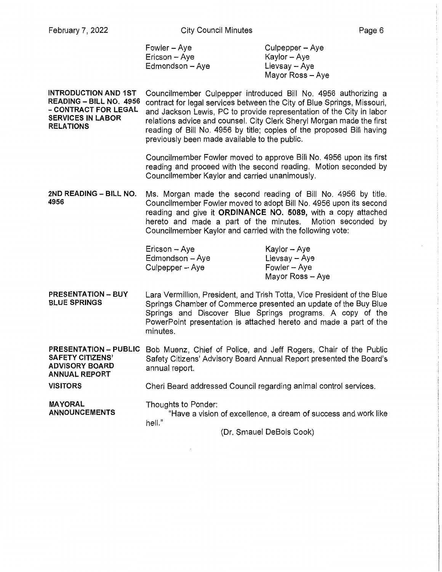| Fowler – Aye    | Culpepper – Aye  |
|-----------------|------------------|
| Ericson – Aye   | Kaylor – Aye     |
| Edmondson – Aye | Lievsay – Aye    |
|                 | Mayor Ross - Aye |

**INTRODUCTION AND 1ST READING - BILL NO. 4956 -CONTRACT FOR LEGAL SERVICES IN LABOR RELATIONS**  Councilmember Culpepper introduced Bill No. 4956 authorizing a contract for legal services between the City of Blue Springs, Missouri, and Jackson Lewis, PC to provide representation of the City in labor relations advice and counsel. City Clerk Sheryl Morgan made the first reading of Bill No. 4956 by title; copies of the proposed Bill having previously been made available to the public.

> Councilmember Fowler moved to approve Bill No. 4956 upon its first reading and proceed with the second reading. Motion seconded by Councilmember Kaylor and carried unanimously.

**2ND READING - BILL NO.** Ms. Morgan made the second reading of Bill No, 4956 by title. **4956** Councilmember Fowler moved to adopt Bill No. 4956 upon its second reading and give it **ORDINANCE NO. 5089,** with a copy attached hereto and made a part of the minutes. Motion seconded by Councilmember Kaylor and carried with the following vote:

| Ericson - Aye   | Kaylor – Aye     |
|-----------------|------------------|
| Edmondson - Aye | Lievsay -- Aye   |
| Culpepper - Aye | Fowler – Aye     |
|                 | Mayor Ross - Aye |

**PRESENTATION- BUY BLUE SPRINGS**  Lara Vermillion, President, and Trish Totta, Vice President of the Blue Springs Chamber of Commerce presented an update of the Buy Blue Springs and Discover Blue Springs programs. A copy of the PowerPoint presentation is attached hereto and made a part of the minutes.

**PRESENTATION - PUBLIC** Bob Muenz, Chief of Police, and Jeff Rogers, Chair of the Public Safety Citizens' Advisory Board Annual Report presented the Board's **ADVISORY BOARD** annual report. **ANNUAL REPORT** 

**VISITORS**  Cheri Beard addressed Council regarding animal control services.

**MAYORAL ANNOUNCEMENTS**  Thoughts to Ponder: "Have a vision of excellence, a dream of success and work like hell."

(Dr. Smauel DeBois Cook)